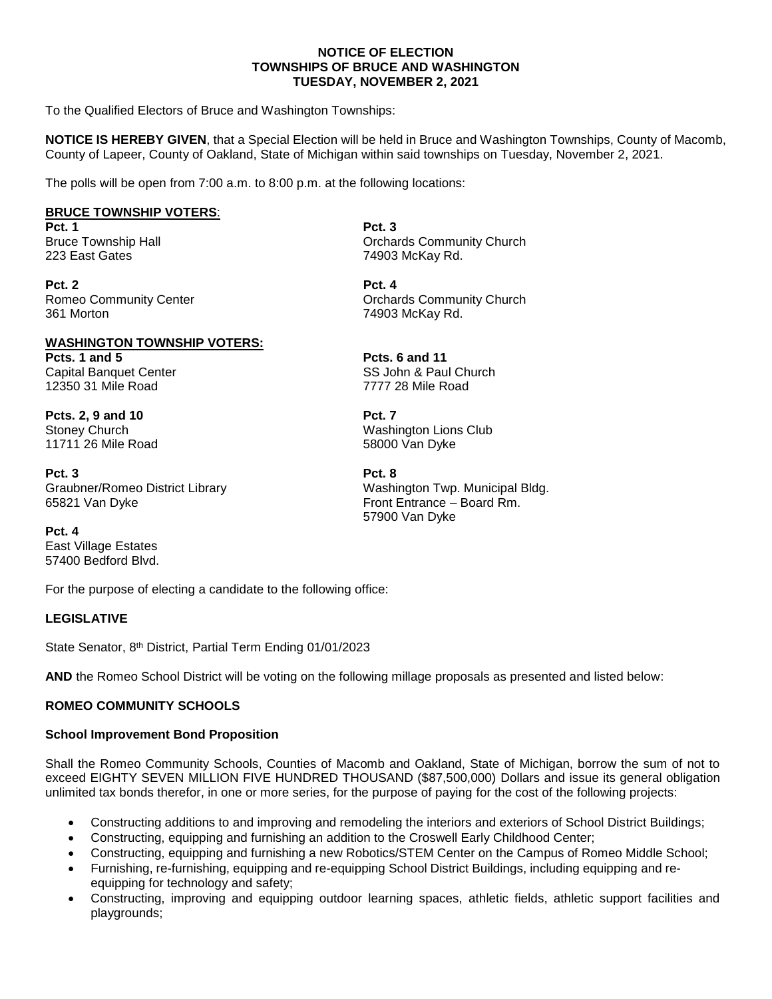### **NOTICE OF ELECTION TOWNSHIPS OF BRUCE AND WASHINGTON TUESDAY, NOVEMBER 2, 2021**

To the Qualified Electors of Bruce and Washington Townships:

**NOTICE IS HEREBY GIVEN**, that a Special Election will be held in Bruce and Washington Townships, County of Macomb, County of Lapeer, County of Oakland, State of Michigan within said townships on Tuesday, November 2, 2021.

The polls will be open from 7:00 a.m. to 8:00 p.m. at the following locations:

# **BRUCE TOWNSHIP VOTERS**:

**Pct. 1 Pct. 3** 223 East Gates 74903 McKay Rd.

**Pct. 2 Pct. 4** 361 Morton 74903 McKay Rd.

#### **WASHINGTON TOWNSHIP VOTERS: Pcts. 1 and 5 Pcts. 6 and 11** Capital Banquet Center Same SS John & Paul Church 12350 31 Mile Road 7777 28 Mile Road

**Pcts. 2, 9 and 10 Pct. 7**

**Pct. 3 Pct. 8** Graubner/Romeo District Library Washington Twp. Municipal Bldg. 65821 Van Dyke Front Entrance – Board Rm.

**Pct. 4**  East Village Estates 57400 Bedford Blvd.

For the purpose of electing a candidate to the following office:

# **LEGISLATIVE**

State Senator, 8<sup>th</sup> District, Partial Term Ending 01/01/2023

**AND** the Romeo School District will be voting on the following millage proposals as presented and listed below:

# **ROMEO COMMUNITY SCHOOLS**

#### **School Improvement Bond Proposition**

Shall the Romeo Community Schools, Counties of Macomb and Oakland, State of Michigan, borrow the sum of not to exceed EIGHTY SEVEN MILLION FIVE HUNDRED THOUSAND (\$87,500,000) Dollars and issue its general obligation unlimited tax bonds therefor, in one or more series, for the purpose of paying for the cost of the following projects:

- Constructing additions to and improving and remodeling the interiors and exteriors of School District Buildings;
- Constructing, equipping and furnishing an addition to the Croswell Early Childhood Center;
- Constructing, equipping and furnishing a new Robotics/STEM Center on the Campus of Romeo Middle School;
- Furnishing, re-furnishing, equipping and re-equipping School District Buildings, including equipping and reequipping for technology and safety;
- Constructing, improving and equipping outdoor learning spaces, athletic fields, athletic support facilities and playgrounds;

Bruce Township Hall **Community Church** Community Church

Romeo Community Center **Community Center** Community Church Community Church

Stoney Church (Stoney Church Muslim Club)<br>11711 26 Mile Road (Stoney Muslim Muslim Church Muslim Muslim Church Muslim Muslim Muslim Muslim Muslim Muslim<br>S8000 Van Dyke 58000 Van Dyke

57900 Van Dyke